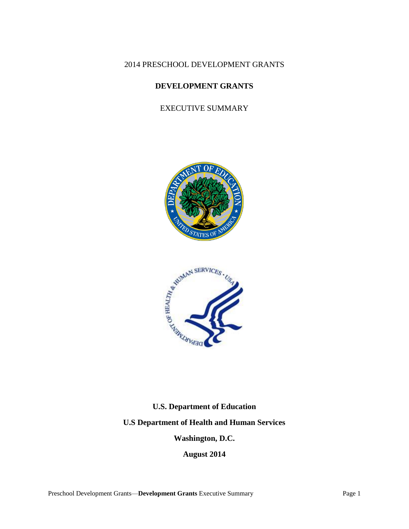2014 PRESCHOOL DEVELOPMENT GRANTS

# **DEVELOPMENT GRANTS**

EXECUTIVE SUMMARY





# **U.S. Department of Education**

**U.S Department of Health and Human Services**

**Washington, D.C.**

**August 2014**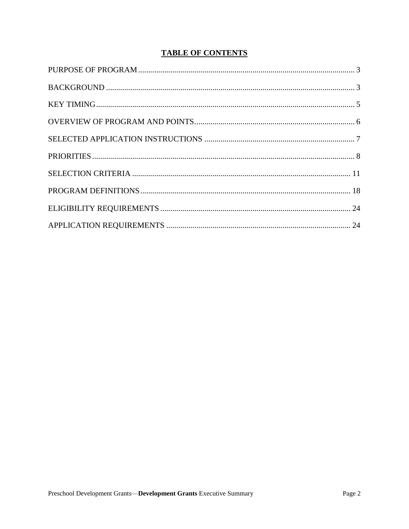# **TABLE OF CONTENTS**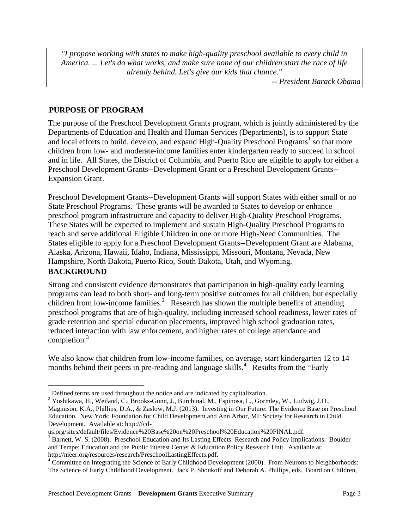*"I propose working with states to make high-quality preschool available to every child in America. ... Let's do what works, and make sure none of our children start the race of life already behind. Let's give our kids that chance."*

*-- President Barack Obama*

# <span id="page-2-0"></span>**PURPOSE OF PROGRAM**

The purpose of the Preschool Development Grants program, which is jointly administered by the Departments of Education and Health and Human Services (Departments), is to support State and local efforts to build, develop, and expand High-Quality Preschool Programs<sup>1</sup> so that more children from low- and moderate-income families enter kindergarten ready to succeed in school and in life. All States, the District of Columbia, and Puerto Rico are eligible to apply for either a Preschool Development Grants--Development Grant or a Preschool Development Grants-- Expansion Grant.

Preschool Development Grants--Development Grants will support States with either small or no State Preschool Programs. These grants will be awarded to States to develop or enhance preschool program infrastructure and capacity to deliver High-Quality Preschool Programs. These States will be expected to implement and sustain High-Quality Preschool Programs to reach and serve additional Eligible Children in one or more High-Need Communities. The States eligible to apply for a Preschool Development Grants--Development Grant are Alabama, Alaska, Arizona, Hawaii, Idaho, Indiana, Mississippi, Missouri, Montana, Nevada, New Hampshire, North Dakota, Puerto Rico, South Dakota, Utah, and Wyoming.

# <span id="page-2-1"></span>**BACKGROUND**

 $\overline{a}$ 

Strong and consistent evidence demonstrates that participation in high-quality early learning programs can lead to both short- and long-term positive outcomes for all children, but especially children from low-income families.<sup>2</sup> Research has shown the multiple benefits of attending preschool programs that are of high-quality, including increased school readiness, lower rates of grade retention and special education placements, improved high school graduation rates, reduced interaction with law enforcement, and higher rates of college attendance and completion.<sup>3</sup>

We also know that children from low-income families, on average, start kindergarten 12 to 14 months behind their peers in pre-reading and language skills.<sup>4</sup> Results from the "Early

<sup>1</sup> Defined terms are used throughout the notice and are indicated by capitalization.

<sup>2</sup> Yoshikawa, H., Weiland, C., Brooks-Gunn, J., Burchinal, M., Espinosa, L., Gormley, W., Ludwig, J.O., Magnuson, K.A., Phillips, D.A., & Zaslow, M.J. (2013). Investing in Our Future: The Evidence Base on Preschool Education. New York: Foundation for Child Development and Ann Arbor, MI: Society for Research in Child Development. Available at: http://fcd-

us.org/sites/default/files/Evidence%20Base%20on%20Preschool%20Education%20FINAL.pdf.

<sup>&</sup>lt;sup>3</sup> Barnett, W. S. (2008). Preschool Education and Its Lasting Effects: Research and Policy Implications. Boulder and Tempe: Education and the Public Interest Center & Education Policy Research Unit. Available at: http://nieer.org/resources/research/PreschoolLastingEffects.pdf.

<sup>&</sup>lt;sup>4</sup> Committee on Integrating the Science of Early Childhood Development (2000). From Neurons to Neighborhoods: The Science of Early Childhood Development. Jack P. Shonkoff and Deborah A. Phillips, eds. Board on Children,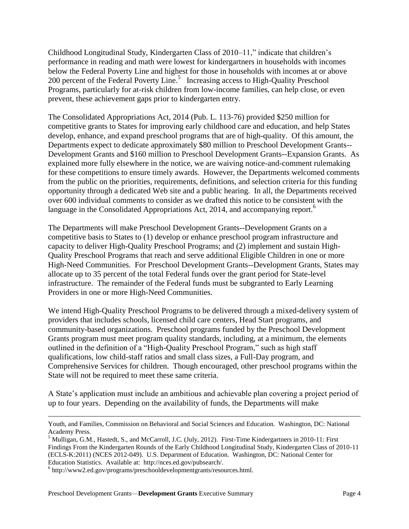Childhood Longitudinal Study, Kindergarten Class of 2010–11," indicate that children's performance in reading and math were lowest for kindergartners in households with incomes below the Federal Poverty Line and highest for those in households with incomes at or above 200 percent of the Federal Poverty Line.<sup>5</sup> Increasing access to High-Quality Preschool Programs, particularly for at-risk children from low-income families, can help close, or even prevent, these achievement gaps prior to kindergarten entry.

The Consolidated Appropriations Act, 2014 (Pub. L. 113-76) provided \$250 million for competitive grants to States for improving early childhood care and education, and help States develop, enhance, and expand preschool programs that are of high-quality. Of this amount, the Departments expect to dedicate approximately \$80 million to Preschool Development Grants-- Development Grants and \$160 million to Preschool Development Grants--Expansion Grants. As explained more fully elsewhere in the notice, we are waiving notice-and-comment rulemaking for these competitions to ensure timely awards. However, the Departments welcomed comments from the public on the priorities, requirements, definitions, and selection criteria for this funding opportunity through a dedicated Web site and a public hearing. In all, the Departments received over 600 individual comments to consider as we drafted this notice to be consistent with the language in the Consolidated Appropriations Act, 2014, and accompanying report.<sup>6</sup>

The Departments will make Preschool Development Grants--Development Grants on a competitive basis to States to (1) develop or enhance preschool program infrastructure and capacity to deliver High-Quality Preschool Programs; and (2) implement and sustain High-Quality Preschool Programs that reach and serve additional Eligible Children in one or more High-Need Communities. For Preschool Development Grants--Development Grants, States may allocate up to 35 percent of the total Federal funds over the grant period for State-level infrastructure. The remainder of the Federal funds must be subgranted to Early Learning Providers in one or more High-Need Communities.

We intend High-Quality Preschool Programs to be delivered through a mixed-delivery system of providers that includes schools, licensed child care centers, Head Start programs, and community-based organizations. Preschool programs funded by the Preschool Development Grants program must meet program quality standards, including, at a minimum, the elements outlined in the definition of a "High-Quality Preschool Program," such as high staff qualifications, low child-staff ratios and small class sizes, a Full-Day program, and Comprehensive Services for children. Though encouraged, other preschool programs within the State will not be required to meet these same criteria.

A State's application must include an ambitious and achievable plan covering a project period of up to four years. Depending on the availability of funds, the Departments will make

Youth, and Families, Commission on Behavioral and Social Sciences and Education. Washington, DC: National Academy Press.

<sup>&</sup>lt;sup>5</sup> Mulligan, G.M., Hastedt, S., and McCarroll, J.C. (July, 2012). First-Time Kindergartners in 2010-11: First Findings From the Kindergarten Rounds of the Early Childhood Longitudinal Study, Kindergarten Class of 2010-11 (ECLS-K:2011) (NCES 2012-049). U.S. Department of Education. Washington, DC: National Center for Education Statistics. Available at: http://nces.ed.gov/pubsearch/.

<sup>6</sup> http://www2.ed.gov/programs/preschooldevelopmentgrants/resources.html.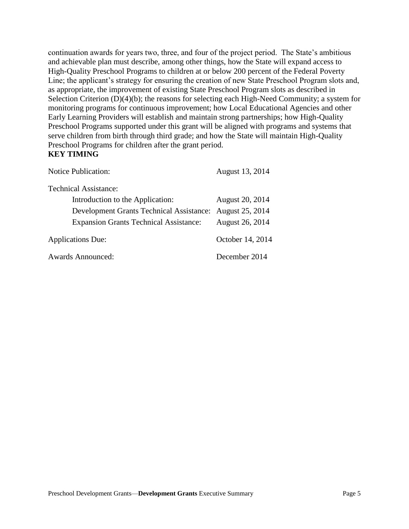continuation awards for years two, three, and four of the project period. The State's ambitious and achievable plan must describe, among other things, how the State will expand access to High-Quality Preschool Programs to children at or below 200 percent of the Federal Poverty Line; the applicant's strategy for ensuring the creation of new State Preschool Program slots and, as appropriate, the improvement of existing State Preschool Program slots as described in Selection Criterion (D)(4)(b); the reasons for selecting each High-Need Community; a system for monitoring programs for continuous improvement; how Local Educational Agencies and other Early Learning Providers will establish and maintain strong partnerships; how High-Quality Preschool Programs supported under this grant will be aligned with programs and systems that serve children from birth through third grade; and how the State will maintain High-Quality Preschool Programs for children after the grant period. **KEY TIMING**

<span id="page-4-0"></span>Notice Publication: August 13, 2014

Technical Assistance:

| Introduction to the Application:                         | August 20, 2014  |
|----------------------------------------------------------|------------------|
| Development Grants Technical Assistance: August 25, 2014 |                  |
| <b>Expansion Grants Technical Assistance:</b>            | August 26, 2014  |
| <b>Applications Due:</b>                                 | October 14, 2014 |
| <b>Awards Announced:</b>                                 | December 2014    |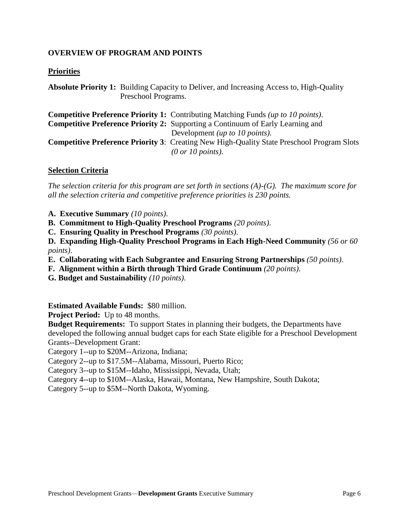# <span id="page-5-0"></span>**OVERVIEW OF PROGRAM AND POINTS**

# **Priorities**

**Absolute Priority 1:** Building Capacity to Deliver, and Increasing Access to, High-Quality Preschool Programs.

**Competitive Preference Priority 1:** Contributing Matching Funds *(up to 10 points)*. **Competitive Preference Priority 2:** Supporting a Continuum of Early Learning and Development *(up to 10 points)*. **Competitive Preference Priority 3**: Creating New High-Quality State Preschool Program Slots *(0 or 10 points)*.

#### **Selection Criteria**

*The selection criteria for this program are set forth in sections (A)-(G). The maximum score for all the selection criteria and competitive preference priorities is 230 points.* 

- **A. Executive Summary** *(10 points)*.
- **B. Commitment to High-Quality Preschool Programs** *(20 points)*.
- **C. Ensuring Quality in Preschool Programs** *(30 points)*.

**D. Expanding High-Quality Preschool Programs in Each High-Need Community** *(56 or 60 points)*.

- **E. Collaborating with Each Subgrantee and Ensuring Strong Partnerships** *(50 points)*.
- **F. Alignment within a Birth through Third Grade Continuum** *(20 points)*.
- **G. Budget and Sustainability** *(10 points)*.

**Estimated Available Funds:** \$80 million.

**Project Period:** Up to 48 months.

**Budget Requirements:** To support States in planning their budgets, the Departments have developed the following annual budget caps for each State eligible for a Preschool Development Grants--Development Grant:

Category 1--up to \$20M--Arizona, Indiana;

Category 2--up to \$17.5M--Alabama, Missouri, Puerto Rico;

Category 3--up to \$15M--Idaho, Mississippi, Nevada, Utah;

Category 4--up to \$10M--Alaska, Hawaii, Montana, New Hampshire, South Dakota;

Category 5--up to \$5M--North Dakota, Wyoming.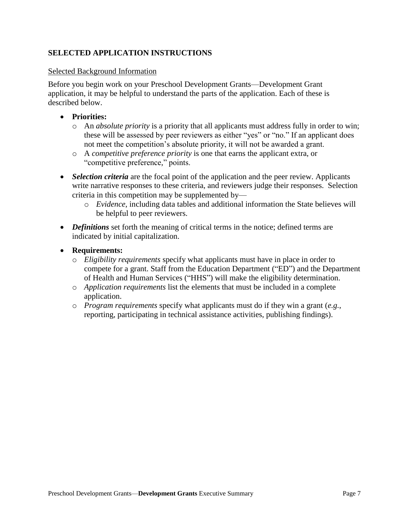# <span id="page-6-0"></span>**SELECTED APPLICATION INSTRUCTIONS**

#### Selected Background Information

Before you begin work on your Preschool Development Grants—Development Grant application, it may be helpful to understand the parts of the application. Each of these is described below.

# **Priorities:**

- o An *absolute priority* is a priority that all applicants must address fully in order to win; these will be assessed by peer reviewers as either "yes" or "no." If an applicant does not meet the competition's absolute priority, it will not be awarded a grant.
- o A *competitive preference priority* is one that earns the applicant extra, or "competitive preference," points.
- *Selection criteria* are the focal point of the application and the peer review. Applicants write narrative responses to these criteria, and reviewers judge their responses. Selection criteria in this competition may be supplemented by
	- o *Evidence*, including data tables and additional information the State believes will be helpful to peer reviewers.
- *Definitions* set forth the meaning of critical terms in the notice; defined terms are indicated by initial capitalization.
- **Requirements:**
	- o *Eligibility requirements* specify what applicants must have in place in order to compete for a grant. Staff from the Education Department ("ED") and the Department of Health and Human Services ("HHS") will make the eligibility determination.
	- o *Application requirements* list the elements that must be included in a complete application.
	- o *Program requirements* specify what applicants must do if they win a grant (*e.g.*, reporting, participating in technical assistance activities, publishing findings).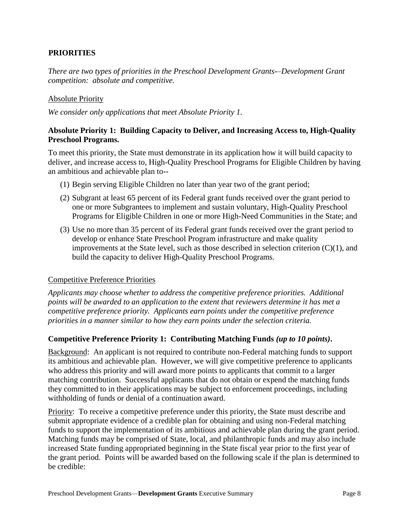# <span id="page-7-0"></span><sup>5</sup>**PRIORITIES**

*There are two types of priorities in the Preschool Development Grants-–Development Grant competition: absolute and competitive.* 

#### Absolute Priority

*We consider only applications that meet Absolute Priority 1.*

# **Absolute Priority 1: Building Capacity to Deliver, and Increasing Access to, High-Quality Preschool Programs.**

To meet this priority, the State must demonstrate in its application how it will build capacity to deliver, and increase access to, High-Quality Preschool Programs for Eligible Children by having an ambitious and achievable plan to--

- (1) Begin serving Eligible Children no later than year two of the grant period;
- (2) Subgrant at least 65 percent of its Federal grant funds received over the grant period to one or more Subgrantees to implement and sustain voluntary, High-Quality Preschool Programs for Eligible Children in one or more High-Need Communities in the State; and
- (3) Use no more than 35 percent of its Federal grant funds received over the grant period to develop or enhance State Preschool Program infrastructure and make quality improvements at the State level, such as those described in selection criterion  $(C)(1)$ , and build the capacity to deliver High-Quality Preschool Programs.

#### Competitive Preference Priorities

*Applicants may choose whether to address the competitive preference priorities. Additional points will be awarded to an application to the extent that reviewers determine it has met a competitive preference priority. Applicants earn points under the competitive preference priorities in a manner similar to how they earn points under the selection criteria.* 

#### **Competitive Preference Priority 1: Contributing Matching Funds** *(up to 10 points)***.**

Background: An applicant is not required to contribute non-Federal matching funds to support its ambitious and achievable plan. However, we will give competitive preference to applicants who address this priority and will award more points to applicants that commit to a larger matching contribution. Successful applicants that do not obtain or expend the matching funds they committed to in their applications may be subject to enforcement proceedings, including withholding of funds or denial of a continuation award.

Priority: To receive a competitive preference under this priority, the State must describe and submit appropriate evidence of a credible plan for obtaining and using non-Federal matching funds to support the implementation of its ambitious and achievable plan during the grant period. Matching funds may be comprised of State, local, and philanthropic funds and may also include increased State funding appropriated beginning in the State fiscal year prior to the first year of the grant period. Points will be awarded based on the following scale if the plan is determined to be credible: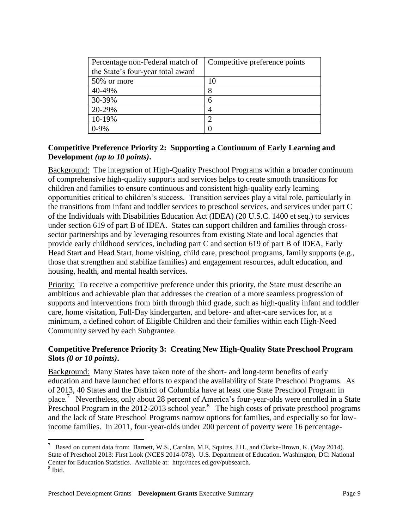| Percentage non-Federal match of   | Competitive preference points |
|-----------------------------------|-------------------------------|
| the State's four-year total award |                               |
| 50% or more                       | 10                            |
| 40-49%                            | 8                             |
| 30-39%                            | 6                             |
| 20-29%                            |                               |
| 10-19%                            |                               |
|                                   |                               |

# **Competitive Preference Priority 2: Supporting a Continuum of Early Learning and Development** *(up to 10 points)***.**

Background: The integration of High-Quality Preschool Programs within a broader continuum of comprehensive high-quality supports and services helps to create smooth transitions for children and families to ensure continuous and consistent high-quality early learning opportunities critical to children's success. Transition services play a vital role, particularly in the transitions from infant and toddler services to preschool services, and services under part C of the Individuals with Disabilities Education Act (IDEA) (20 U.S.C. 1400 et seq.) to services under section 619 of part B of IDEA. States can support children and families through crosssector partnerships and by leveraging resources from existing State and local agencies that provide early childhood services, including part C and section 619 of part B of IDEA, Early Head Start and Head Start, home visiting, child care, preschool programs, family supports (e.g., those that strengthen and stabilize families) and engagement resources, adult education, and housing, health, and mental health services.

Priority: To receive a competitive preference under this priority, the State must describe an ambitious and achievable plan that addresses the creation of a more seamless progression of supports and interventions from birth through third grade, such as high-quality infant and toddler care, home visitation, Full-Day kindergarten, and before- and after-care services for, at a minimum, a defined cohort of Eligible Children and their families within each High-Need Community served by each Subgrantee.

# **Competitive Preference Priority 3: Creating New High-Quality State Preschool Program Slots** *(0 or 10 points)***.**

Background: Many States have taken note of the short- and long-term benefits of early education and have launched efforts to expand the availability of State Preschool Programs. As of 2013, 40 States and the District of Columbia have at least one State Preschool Program in place.<sup>7</sup> Nevertheless, only about 28 percent of America's four-year-olds were enrolled in a State Preschool Program in the 2012-2013 school year.<sup>8</sup> The high costs of private preschool programs and the lack of State Preschool Programs narrow options for families, and especially so for lowincome families. In 2011, four-year-olds under 200 percent of poverty were 16 percentage-

 $7$  Based on current data from: Barnett, W.S., Carolan, M.E, Squires, J.H., and Clarke-Brown, K. (May 2014). State of Preschool 2013: First Look (NCES 2014-078). U.S. Department of Education. Washington, DC: National Center for Education Statistics. Available at: http://nces.ed.gov/pubsearch. 8 Ibid.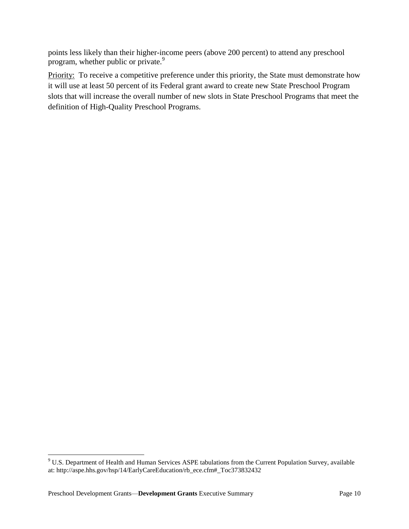points less likely than their higher-income peers (above 200 percent) to attend any preschool program, whether public or private.<sup>9</sup>

Priority: To receive a competitive preference under this priority, the State must demonstrate how it will use at least 50 percent of its Federal grant award to create new State Preschool Program slots that will increase the overall number of new slots in State Preschool Programs that meet the definition of High-Quality Preschool Programs.

 $9$  U.S. Department of Health and Human Services ASPE tabulations from the Current Population Survey, available at: http://aspe.hhs.gov/hsp/14/EarlyCareEducation/rb\_ece.cfm#\_Toc373832432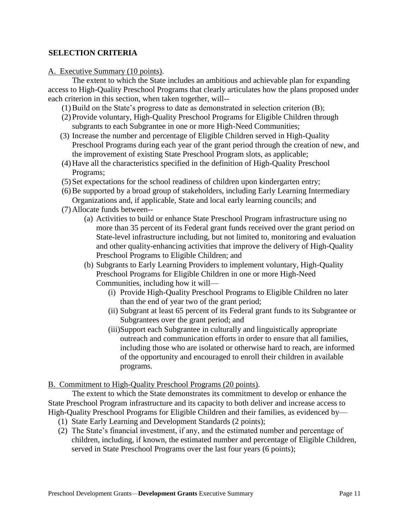#### <span id="page-10-0"></span><sup>B</sup>**SELECTION CRITERIA**

#### A. Executive Summary (10 points).

 The extent to which the State includes an ambitious and achievable plan for expanding access to High-Quality Preschool Programs that clearly articulates how the plans proposed under each criterion in this section, when taken together, will--

- $(1)$  Build on the State's progress to date as demonstrated in selection criterion  $(B)$ ;
- (2) Provide voluntary, High-Quality Preschool Programs for Eligible Children through subgrants to each Subgrantee in one or more High-Need Communities;
- (3) Increase the number and percentage of Eligible Children served in High-Quality Preschool Programs during each year of the grant period through the creation of new, and the improvement of existing State Preschool Program slots, as applicable;
- (4)Have all the characteristics specified in the definition of High-Quality Preschool Programs;
- (5) Set expectations for the school readiness of children upon kindergarten entry;
- (6)Be supported by a broad group of stakeholders, including Early Learning Intermediary
- Organizations and, if applicable, State and local early learning councils; and (7)Allocate funds between--
	- (a) Activities to build or enhance State Preschool Program infrastructure using no more than 35 percent of its Federal grant funds received over the grant period on State-level infrastructure including, but not limited to, monitoring and evaluation and other quality-enhancing activities that improve the delivery of High-Quality Preschool Programs to Eligible Children; and
	- (b) Subgrants to Early Learning Providers to implement voluntary, High-Quality Preschool Programs for Eligible Children in one or more High-Need Communities, including how it will—
		- (i) Provide High-Quality Preschool Programs to Eligible Children no later than the end of year two of the grant period;
		- (ii) Subgrant at least 65 percent of its Federal grant funds to its Subgrantee or Subgrantees over the grant period; and
		- (iii)Support each Subgrantee in culturally and linguistically appropriate outreach and communication efforts in order to ensure that all families, including those who are isolated or otherwise hard to reach, are informed of the opportunity and encouraged to enroll their children in available programs.

#### B. Commitment to High-Quality Preschool Programs (20 points).

 The extent to which the State demonstrates its commitment to develop or enhance the State Preschool Program infrastructure and its capacity to both deliver and increase access to High-Quality Preschool Programs for Eligible Children and their families, as evidenced by—

- (1) State Early Learning and Development Standards (2 points);
- (2) The State's financial investment, if any, and the estimated number and percentage of children, including, if known, the estimated number and percentage of Eligible Children, served in State Preschool Programs over the last four years (6 points);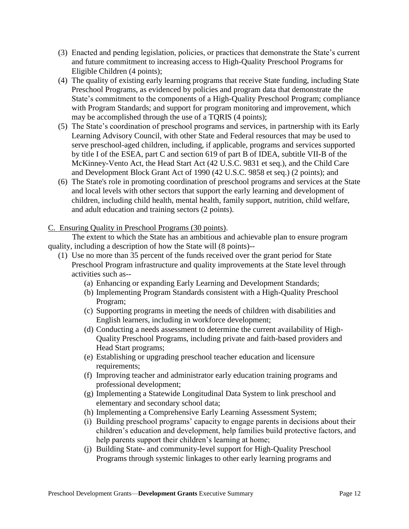- (3) Enacted and pending legislation, policies, or practices that demonstrate the State's current and future commitment to increasing access to High-Quality Preschool Programs for Eligible Children (4 points);
- (4) The quality of existing early learning programs that receive State funding, including State Preschool Programs, as evidenced by policies and program data that demonstrate the State's commitment to the components of a High-Quality Preschool Program; compliance with Program Standards; and support for program monitoring and improvement, which may be accomplished through the use of a TQRIS (4 points);
- (5) The State's coordination of preschool programs and services, in partnership with its Early Learning Advisory Council, with other State and Federal resources that may be used to serve preschool-aged children, including, if applicable, programs and services supported by title I of the ESEA, part C and section 619 of part B of IDEA, subtitle VII-B of the McKinney-Vento Act, the [Head Start Act](https://www.govtrack.us/congress/bills/browse?congress=__ALL__&sort=relevance&text=Head%20Start%20Act) [\(42 U.S.C. 9831 et seq.\)](http://www.law.cornell.edu/uscode/text/42/9831), and the [Child Care](https://www.govtrack.us/congress/bills/browse?congress=__ALL__&sort=relevance&text=Child%20Care%20and%20Development%20Block%20Grant%20Act%20of%201990)  [and Development Block Grant Act of 1990](https://www.govtrack.us/congress/bills/browse?congress=__ALL__&sort=relevance&text=Child%20Care%20and%20Development%20Block%20Grant%20Act%20of%201990) [\(42 U.S.C. 9858 et seq.\)](http://www.law.cornell.edu/uscode/text/42/9858) (2 points); and
- (6) The State's role in promoting coordination of preschool programs and services at the State and local levels with other sectors that support the early learning and development of children, including child health, mental health, family support, nutrition, child welfare, and adult education and training sectors (2 points).

# C. Ensuring Quality in Preschool Programs (30 points).

 The extent to which the State has an ambitious and achievable plan to ensure program quality, including a description of how the State will (8 points)--

- (1) Use no more than 35 percent of the funds received over the grant period for State Preschool Program infrastructure and quality improvements at the State level through activities such as--
	- (a) Enhancing or expanding Early Learning and Development Standards;
	- (b) Implementing Program Standards consistent with a High-Quality Preschool Program;
	- (c) Supporting programs in meeting the needs of children with disabilities and English learners, including in workforce development;
	- (d) Conducting a needs assessment to determine the current availability of High-Quality Preschool Programs, including private and faith-based providers and Head Start programs;
	- (e) Establishing or upgrading preschool teacher education and licensure requirements;
	- (f) Improving teacher and administrator early education training programs and professional development;
	- (g) Implementing a Statewide Longitudinal Data System to link preschool and elementary and secondary school data;
	- (h) Implementing a Comprehensive Early Learning Assessment System;
	- (i) Building preschool programs' capacity to engage parents in decisions about their children's education and development, help families build protective factors, and help parents support their children's learning at home;
	- (j) Building State- and community-level support for High-Quality Preschool Programs through systemic linkages to other early learning programs and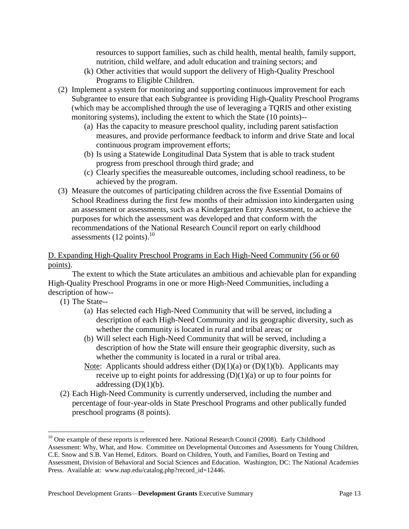resources to support families, such as child health, mental health, family support, nutrition, child welfare, and adult education and training sectors; and

- (k) Other activities that would support the delivery of High-Quality Preschool Programs to Eligible Children.
- (2) Implement a system for monitoring and supporting continuous improvement for each Subgrantee to ensure that each Subgrantee is providing High-Quality Preschool Programs (which may be accomplished through the use of leveraging a TQRIS and other existing monitoring systems), including the extent to which the State (10 points)--
	- (a) Has the capacity to measure preschool quality, including parent satisfaction measures, and provide performance feedback to inform and drive State and local continuous program improvement efforts;
	- (b) Is using a Statewide Longitudinal Data System that is able to track student progress from preschool through third grade; and
	- (c) Clearly specifies the measureable outcomes, including school readiness, to be achieved by the program.
- (3) Measure the outcomes of participating children across the five Essential Domains of School Readiness during the first few months of their admission into kindergarten using an assessment or assessments, such as a Kindergarten Entry Assessment, to achieve the purposes for which the assessment was developed and that conform with the recommendations of the National Research Council report on early childhood assessments  $(12 \text{ points})$ .<sup>10</sup>

# D. Expanding High-Quality Preschool Programs in Each High-Need Community (56 or 60 points).

 The extent to which the State articulates an ambitious and achievable plan for expanding High-Quality Preschool Programs in one or more High-Need Communities, including a description of how--

(1) The State--

- (a) Has selected each High-Need Community that will be served, including a description of each High-Need Community and its geographic diversity, such as whether the community is located in rural and tribal areas; or
- (b) Will select each High-Need Community that will be served, including a description of how the State will ensure their geographic diversity, such as whether the community is located in a rural or tribal area.
- Note: Applicants should address either  $(D)(1)(a)$  or  $(D)(1)(b)$ . Applicants may receive up to eight points for addressing  $(D)(1)(a)$  or up to four points for addressing  $(D)(1)(b)$ .
- (2) Each High-Need Community is currently underserved, including the number and percentage of four-year-olds in State Preschool Programs and other publically funded preschool programs (8 points).

<sup>&</sup>lt;sup>10</sup> One example of these reports is referenced here. National Research Council (2008). Early Childhood Assessment: Why, What, and How. Committee on Developmental Outcomes and Assessments for Young Children, C.E. Snow and S.B. Van Hemel, Editors. Board on Children, Youth, and Families, Board on Testing and Assessment, Division of Behavioral and Social Sciences and Education. Washington, DC: The National Academies Press. Available at: www.nap.edu/catalog.php?record\_id=12446.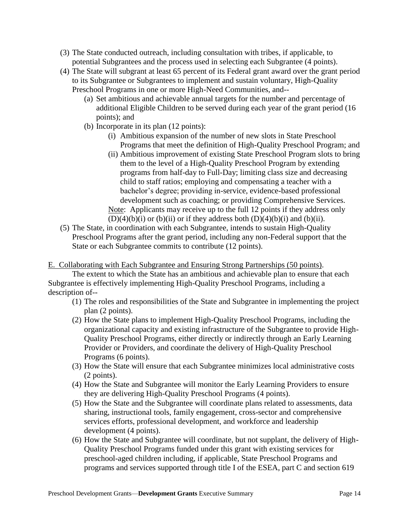- (3) The State conducted outreach, including consultation with tribes, if applicable, to potential Subgrantees and the process used in selecting each Subgrantee (4 points).
- (4) The State will subgrant at least 65 percent of its Federal grant award over the grant period to its Subgrantee or Subgrantees to implement and sustain voluntary, High-Quality Preschool Programs in one or more High-Need Communities, and--
	- (a) Set ambitious and achievable annual targets for the number and percentage of additional Eligible Children to be served during each year of the grant period (16 points); and
	- (b) Incorporate in its plan (12 points):
		- (i) Ambitious expansion of the number of new slots in State Preschool Programs that meet the definition of High-Quality Preschool Program; and
		- (ii) Ambitious improvement of existing State Preschool Program slots to bring them to the level of a High-Quality Preschool Program by extending programs from half-day to Full-Day; limiting class size and decreasing child to staff ratios; employing and compensating a teacher with a bachelor's degree; providing in-service, evidence-based professional development such as coaching; or providing Comprehensive Services. Note: Applicants may receive up to the full 12 points if they address only
- $(D)(4)(b)(i)$  or  $(b)(ii)$  or if they address both  $(D)(4)(b)(i)$  and  $(b)(ii)$ . (5) The State, in coordination with each Subgrantee, intends to sustain High-Quality Preschool Programs after the grant period, including any non-Federal support that the State or each Subgrantee commits to contribute (12 points).

#### E. Collaborating with Each Subgrantee and Ensuring Strong Partnerships (50 points).

 The extent to which the State has an ambitious and achievable plan to ensure that each Subgrantee is effectively implementing High-Quality Preschool Programs, including a description of--

- (1) The roles and responsibilities of the State and Subgrantee in implementing the project plan (2 points).
- (2) How the State plans to implement High-Quality Preschool Programs, including the organizational capacity and existing infrastructure of the Subgrantee to provide High-Quality Preschool Programs, either directly or indirectly through an Early Learning Provider or Providers, and coordinate the delivery of High-Quality Preschool Programs (6 points).
- (3) How the State will ensure that each Subgrantee minimizes local administrative costs (2 points).
- (4) How the State and Subgrantee will monitor the Early Learning Providers to ensure they are delivering High-Quality Preschool Programs (4 points).
- (5) How the State and the Subgrantee will coordinate plans related to assessments, data sharing, instructional tools, family engagement, cross-sector and comprehensive services efforts, professional development, and workforce and leadership development (4 points).
- (6) How the State and Subgrantee will coordinate, but not supplant, the delivery of High-Quality Preschool Programs funded under this grant with existing services for preschool-aged children including, if applicable, State Preschool Programs and programs and services supported through title I of the ESEA, part C and section 619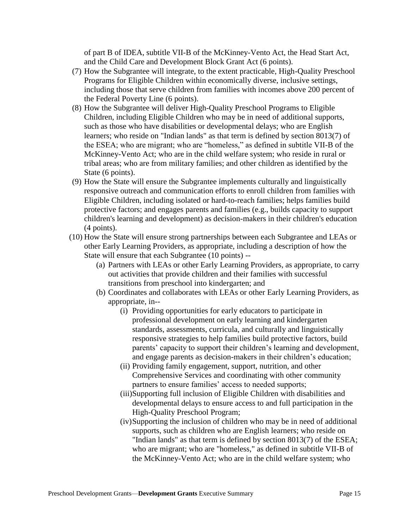of part B of IDEA, subtitle VII-B of the McKinney-Vento Act, the Head Start Act, and the Child Care and Development Block Grant Act (6 points).

- (7) How the Subgrantee will integrate, to the extent practicable, High-Quality Preschool Programs for Eligible Children within economically diverse, inclusive settings, including those that serve children from families with incomes above 200 percent of the Federal Poverty Line (6 points).
- (8) How the Subgrantee will deliver High-Quality Preschool Programs to Eligible Children, including Eligible Children who may be in need of additional supports, such as those who have disabilities or developmental delays; who are English learners; who reside on "Indian lands" as that term is defined by section 8013(7) of the ESEA; who are migrant; who are "homeless," as defined in subtitle VII-B of the McKinney-Vento Act; who are in the child welfare system; who reside in rural or tribal areas; who are from military families; and other children as identified by the State (6 points).
- (9) How the State will ensure the Subgrantee implements culturally and linguistically responsive outreach and communication efforts to enroll children from families with Eligible Children, including isolated or hard-to-reach families; helps families build protective factors; and engages parents and families (e.g., builds capacity to support children's learning and development) as decision-makers in their children's education (4 points).
- (10) How the State will ensure strong partnerships between each Subgrantee and LEAs or other Early Learning Providers, as appropriate, including a description of how the State will ensure that each Subgrantee (10 points) --
	- (a) Partners with LEAs or other Early Learning Providers, as appropriate, to carry out activities that provide children and their families with successful transitions from preschool into kindergarten; and
	- (b) Coordinates and collaborates with LEAs or other Early Learning Providers, as appropriate, in--
		- (i) Providing opportunities for early educators to participate in professional development on early learning and kindergarten standards, assessments, curricula, and culturally and linguistically responsive strategies to help families build protective factors, build parents' capacity to support their children's learning and development, and engage parents as decision-makers in their children's education;
		- (ii) Providing family engagement, support, nutrition, and other Comprehensive Services and coordinating with other community partners to ensure families' access to needed supports;
		- (iii)Supporting full inclusion of Eligible Children with disabilities and developmental delays to ensure access to and full participation in the High-Quality Preschool Program;
		- (iv)Supporting the inclusion of children who may be in need of additional supports, such as children who are English learners; who reside on "Indian lands" as that term is defined by section 8013(7) of the ESEA; who are migrant; who are "homeless," as defined in subtitle VII-B of the McKinney-Vento Act; who are in the child welfare system; who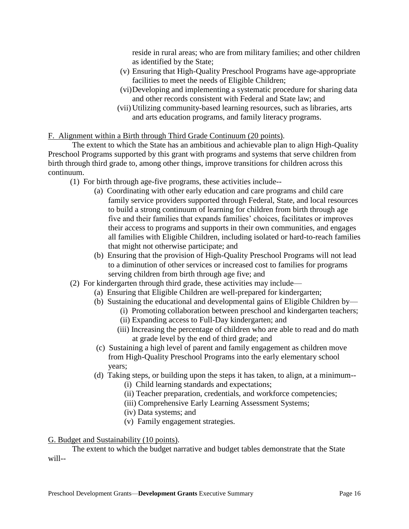reside in rural areas; who are from military families; and other children as identified by the State;

- (v) Ensuring that High-Quality Preschool Programs have age-appropriate facilities to meet the needs of Eligible Children;
- (vi)Developing and implementing a systematic procedure for sharing data and other records consistent with Federal and State law; and
- (vii) Utilizing community-based learning resources, such as libraries, arts and arts education programs, and family literacy programs.

# F. Alignment within a Birth through Third Grade Continuum (20 points).

 The extent to which the State has an ambitious and achievable plan to align High-Quality Preschool Programs supported by this grant with programs and systems that serve children from birth through third grade to, among other things, improve transitions for children across this continuum.

- (1) For birth through age-five programs, these activities include--
	- (a) Coordinating with other early education and care programs and child care family service providers supported through Federal, State, and local resources to build a strong continuum of learning for children from birth through age five and their families that expands families' choices, facilitates or improves their access to programs and supports in their own communities, and engages all families with Eligible Children, including isolated or hard-to-reach families that might not otherwise participate; and
	- (b) Ensuring that the provision of High-Quality Preschool Programs will not lead to a diminution of other services or increased cost to families for programs serving children from birth through age five; and
- (2) For kindergarten through third grade, these activities may include—
	- (a) Ensuring that Eligible Children are well-prepared for kindergarten;
		- (b) Sustaining the educational and developmental gains of Eligible Children by—
			- (i) Promoting collaboration between preschool and kindergarten teachers;
			- (ii) Expanding access to Full-Day kindergarten; and
			- (iii) Increasing the percentage of children who are able to read and do math at grade level by the end of third grade; and
		- (c) Sustaining a high level of parent and family engagement as children move from High-Quality Preschool Programs into the early elementary school years;
		- (d) Taking steps, or building upon the steps it has taken, to align, at a minimum--
			- (i) Child learning standards and expectations;
			- (ii) Teacher preparation, credentials, and workforce competencies;
			- (iii) Comprehensive Early Learning Assessment Systems;
			- (iv) Data systems; and
			- (v) Family engagement strategies.

# G. Budget and Sustainability (10 points).

The extent to which the budget narrative and budget tables demonstrate that the State will--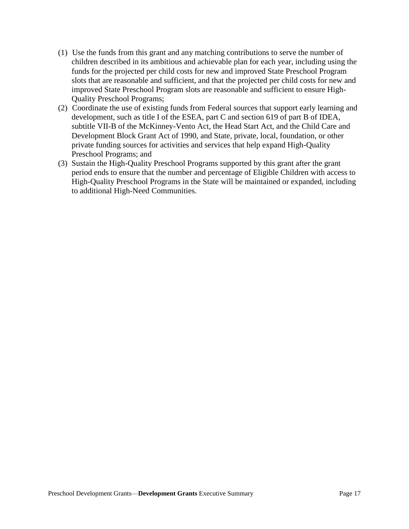- (1) Use the funds from this grant and any matching contributions to serve the number of children described in its ambitious and achievable plan for each year, including using the funds for the projected per child costs for new and improved State Preschool Program slots that are reasonable and sufficient, and that the projected per child costs for new and improved State Preschool Program slots are reasonable and sufficient to ensure High-Quality Preschool Programs;
- (2) Coordinate the use of existing funds from Federal sources that support early learning and development, such as title I of the ESEA, part C and section 619 of part B of IDEA, subtitle VII-B of the McKinney-Vento Act, the Head Start Act, and the Child Care and Development Block Grant Act of 1990, and State, private, local, foundation, or other private funding sources for activities and services that help expand High-Quality Preschool Programs; and
- (3) Sustain the High-Quality Preschool Programs supported by this grant after the grant period ends to ensure that the number and percentage of Eligible Children with access to High-Quality Preschool Programs in the State will be maintained or expanded, including to additional High-Need Communities.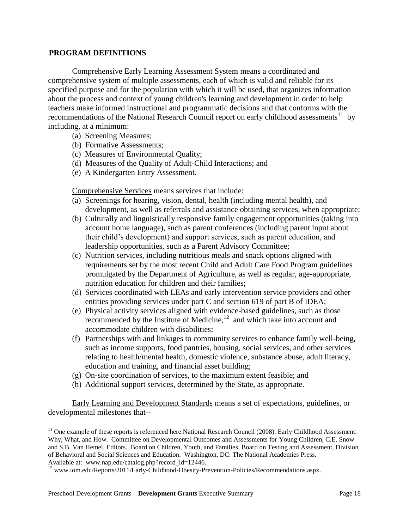#### <span id="page-17-0"></span>7B**PROGRAM DEFINITIONS**

 Comprehensive Early Learning Assessment System means a coordinated and comprehensive system of multiple assessments, each of which is valid and reliable for its specified purpose and for the population with which it will be used, that organizes information about the process and context of young children's learning and development in order to help teachers make informed instructional and programmatic decisions and that conforms with the recommendations of the National Research Council report on early childhood assessments<sup>11</sup> by including, at a minimum:

- (a) Screening Measures;
- (b) Formative Assessments;
- (c) Measures of Environmental Quality;
- (d) Measures of the Quality of Adult-Child Interactions; and
- (e) A Kindergarten Entry Assessment.

Comprehensive Services means services that include:

- (a) Screenings for hearing, vision, dental, health (including mental health), and development, as well as referrals and assistance obtaining services, when appropriate;
- (b) Culturally and linguistically responsive family engagement opportunities (taking into account home language), such as parent conferences (including parent input about their child's development) and support services, such as parent education, and leadership opportunities, such as a Parent Advisory Committee;
- (c) Nutrition services, including nutritious meals and snack options aligned with requirements set by the most recent Child and Adult Care Food Program guidelines promulgated by the Department of Agriculture, as well as regular, age-appropriate, nutrition education for children and their families;
- (d) Services coordinated with LEAs and early intervention service providers and other entities providing services under part C and section 619 of part B of IDEA;
- (e) Physical activity services aligned with evidence-based guidelines, such as those recommended by the Institute of Medicine, $12$  and which take into account and accommodate children with disabilities;
- (f) Partnerships with and linkages to community services to enhance family well-being, such as income supports, food pantries, housing, social services, and other services relating to health/mental health, domestic violence, substance abuse, adult literacy, education and training, and financial asset building;
- (g) On-site coordination of services, to the maximum extent feasible; and
- (h) Additional support services, determined by the State, as appropriate.

Early Learning and Development Standards means a set of expectations, guidelines, or developmental milestones that--

 $11$  One example of these reports is referenced here. National Research Council (2008). Early Childhood Assessment: Why, What, and How. Committee on Developmental Outcomes and Assessments for Young Children, C.E. Snow and S.B. Van Hemel, Editors. Board on Children, Youth, and Families, Board on Testing and Assessment, Division of Behavioral and Social Sciences and Education. Washington, DC: The National Academies Press. Available at: www.nap.edu/catalog.php?record\_id=12446.

<sup>&</sup>lt;sup>12</sup> www.iom.edu/Reports/2011/Early-Childhood-Obesity-Prevention-Policies/Recommendations.aspx.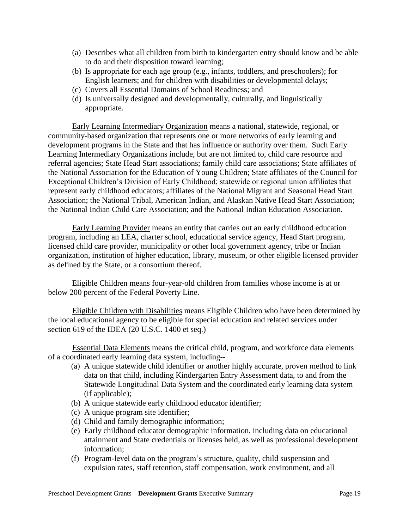- (a) Describes what all children from birth to kindergarten entry should know and be able to do and their disposition toward learning;
- (b) Is appropriate for each age group (e.g., infants, toddlers, and preschoolers); for English learners; and for children with disabilities or developmental delays;
- (c) Covers all Essential Domains of School Readiness; and
- (d) Is universally designed and developmentally, culturally, and linguistically appropriate.

Early Learning Intermediary Organization means a national, statewide, regional, or community-based organization that represents one or more networks of early learning and development programs in the State and that has influence or authority over them. Such Early Learning Intermediary Organizations include, but are not limited to, child care resource and referral agencies; State Head Start associations; family child care associations; State affiliates of the National Association for the Education of Young Children; State affiliates of the Council for Exceptional Children's Division of Early Childhood; statewide or regional union affiliates that represent early childhood educators; affiliates of the National Migrant and Seasonal Head Start Association; the National Tribal, American Indian, and Alaskan Native Head Start Association; the National Indian Child Care Association; and the National Indian Education Association.

Early Learning Provider means an entity that carries out an early childhood education program, including an LEA, charter school, educational service agency, Head Start program, licensed child care provider, municipality or other local government agency, tribe or Indian organization, institution of higher education, library, museum, or other eligible licensed provider as defined by the State, or a consortium thereof.

Eligible Children means four-year-old children from families whose income is at or below 200 percent of the Federal Poverty Line.

Eligible Children with Disabilities means Eligible Children who have been determined by the local educational agency to be eligible for special education and related services under section 619 of the IDEA (20 U.S.C. 1400 et seq.)

Essential Data Elements means the critical child, program, and workforce data elements of a coordinated early learning data system, including--

- (a) A unique statewide child identifier or another highly accurate, proven method to link data on that child, including Kindergarten Entry Assessment data, to and from the Statewide Longitudinal Data System and the coordinated early learning data system (if applicable);
- (b) A unique statewide early childhood educator identifier;
- (c) A unique program site identifier;
- (d) Child and family demographic information;
- (e) Early childhood educator demographic information, including data on educational attainment and State credentials or licenses held, as well as professional development information;
- (f) Program-level data on the program's structure, quality, child suspension and expulsion rates, staff retention, staff compensation, work environment, and all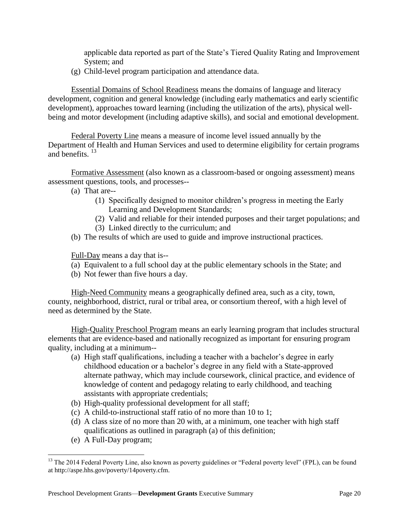applicable data reported as part of the State's Tiered Quality Rating and Improvement System; and

(g) Child-level program participation and attendance data.

Essential Domains of School Readiness means the domains of language and literacy development, cognition and general knowledge (including early mathematics and early scientific development), approaches toward learning (including the utilization of the arts), physical wellbeing and motor development (including adaptive skills), and social and emotional development.

Federal Poverty Line means a measure of income level issued annually by the Department of Health and Human Services and used to determine eligibility for certain programs and benefits. <sup>13</sup>

Formative Assessment (also known as a classroom-based or ongoing assessment) means assessment questions, tools, and processes--

- (a) That are--
	- (1) Specifically designed to monitor children's progress in meeting the Early Learning and Development Standards;
	- (2) Valid and reliable for their intended purposes and their target populations; and
	- (3) Linked directly to the curriculum; and
- (b) The results of which are used to guide and improve instructional practices.

Full-Day means a day that is--

- (a) Equivalent to a full school day at the public elementary schools in the State; and
- (b) Not fewer than five hours a day.

High-Need Community means a geographically defined area, such as a city, town, county, neighborhood, district, rural or tribal area, or consortium thereof, with a high level of need as determined by the State.

High-Quality Preschool Program means an early learning program that includes structural elements that are evidence-based and nationally recognized as important for ensuring program quality, including at a minimum--

- (a) High staff qualifications, including a teacher with a bachelor's degree in early childhood education or a bachelor's degree in any field with a State-approved alternate pathway, which may include coursework, clinical practice, and evidence of knowledge of content and pedagogy relating to early childhood, and teaching assistants with appropriate credentials;
- (b) High-quality professional development for all staff;
- (c) A child-to-instructional staff ratio of no more than 10 to 1;
- (d) A class size of no more than 20 with, at a minimum, one teacher with high staff qualifications as outlined in paragraph (a) of this definition;
- (e) A Full-Day program;

<sup>&</sup>lt;sup>13</sup> The 2014 Federal Poverty Line, also known as poverty guidelines or "Federal poverty level" (FPL), can be found at http://aspe.hhs.gov/poverty/14poverty.cfm.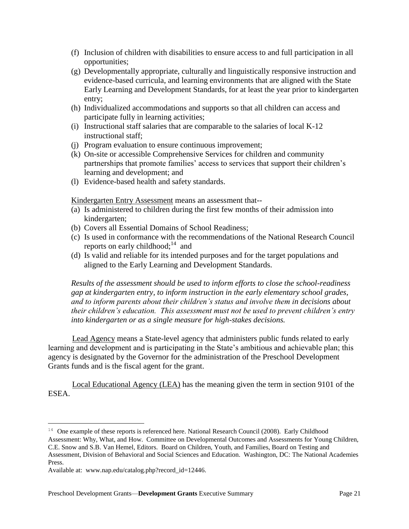- (f) Inclusion of children with disabilities to ensure access to and full participation in all opportunities;
- (g) Developmentally appropriate, culturally and linguistically responsive instruction and evidence-based curricula, and learning environments that are aligned with the State Early Learning and Development Standards, for at least the year prior to kindergarten entry;
- (h) Individualized accommodations and supports so that all children can access and participate fully in learning activities;
- (i) Instructional staff salaries that are comparable to the salaries of local K-12 instructional staff;
- (j) Program evaluation to ensure continuous improvement;
- (k) On-site or accessible Comprehensive Services for children and community partnerships that promote families' access to services that support their children's learning and development; and
- (l) Evidence-based health and safety standards.

Kindergarten Entry Assessment means an assessment that--

- (a) Is administered to children during the first few months of their admission into kindergarten;
- (b) Covers all Essential Domains of School Readiness;
- (c) Is used in conformance with the recommendations of the National Research Council reports on early childhood;<sup>14</sup> and
- (d) Is valid and reliable for its intended purposes and for the target populations and aligned to the Early Learning and Development Standards.

*Results of the assessment should be used to inform efforts to close the school-readiness gap at kindergarten entry, to inform instruction in the early elementary school grades, and to inform parents about their children's status and involve them in decisions about their children's education. This assessment must not be used to prevent children's entry into kindergarten or as a single measure for high-stakes decisions.*

Lead Agency means a State-level agency that administers public funds related to early learning and development and is participating in the State's ambitious and achievable plan; this agency is designated by the Governor for the administration of the Preschool Development Grants funds and is the fiscal agent for the grant.

Local Educational Agency (LEA) has the meaning given the term in section 9101 of the ESEA.

<sup>&</sup>lt;sup>14</sup> One example of these reports is referenced here. National Research Council (2008). Early Childhood Assessment: Why, What, and How. Committee on Developmental Outcomes and Assessments for Young Children, C.E. Snow and S.B. Van Hemel, Editors. Board on Children, Youth, and Families, Board on Testing and Assessment, Division of Behavioral and Social Sciences and Education. Washington, DC: The National Academies Press.

Available at: www.nap.edu/catalog.php?record\_id=12446.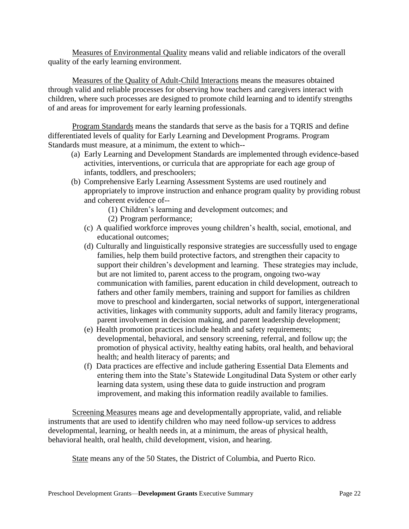Measures of Environmental Quality means valid and reliable indicators of the overall quality of the early learning environment.

Measures of the Quality of Adult-Child Interactions means the measures obtained through valid and reliable processes for observing how teachers and caregivers interact with children, where such processes are designed to promote child learning and to identify strengths of and areas for improvement for early learning professionals.

Program Standards means the standards that serve as the basis for a TQRIS and define differentiated levels of quality for Early Learning and Development Programs. Program Standards must measure, at a minimum, the extent to which--

- (a) Early Learning and Development Standards are implemented through evidence-based activities, interventions, or curricula that are appropriate for each age group of infants, toddlers, and preschoolers;
- (b) Comprehensive Early Learning Assessment Systems are used routinely and appropriately to improve instruction and enhance program quality by providing robust and coherent evidence of--
	- (1) Children's learning and development outcomes; and
	- (2) Program performance;
	- (c) A qualified workforce improves young children's health, social, emotional, and educational outcomes;
	- (d) Culturally and linguistically responsive strategies are successfully used to engage families, help them build protective factors, and strengthen their capacity to support their children's development and learning. These strategies may include, but are not limited to, parent access to the program, ongoing two-way communication with families, parent education in child development, outreach to fathers and other family members, training and support for families as children move to preschool and kindergarten, social networks of support, intergenerational activities, linkages with community supports, adult and family literacy programs, parent involvement in decision making, and parent leadership development;
	- (e) Health promotion practices include health and safety requirements; developmental, behavioral, and sensory screening, referral, and follow up; the promotion of physical activity, healthy eating habits, oral health, and behavioral health; and health literacy of parents; and
	- (f) Data practices are effective and include gathering Essential Data Elements and entering them into the State's Statewide Longitudinal Data System or other early learning data system, using these data to guide instruction and program improvement, and making this information readily available to families.

Screening Measures means age and developmentally appropriate, valid, and reliable instruments that are used to identify children who may need follow-up services to address developmental, learning, or health needs in, at a minimum, the areas of physical health, behavioral health, oral health, child development, vision, and hearing.

State means any of the 50 States, the District of Columbia, and Puerto Rico.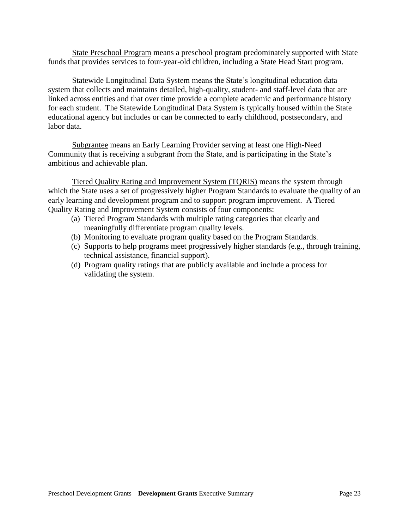State Preschool Program means a preschool program predominately supported with State funds that provides services to four-year-old children, including a State Head Start program.

Statewide Longitudinal Data System means the State's longitudinal education data system that collects and maintains detailed, high-quality, student- and staff-level data that are linked across entities and that over time provide a complete academic and performance history for each student. The Statewide Longitudinal Data System is typically housed within the State educational agency but includes or can be connected to early childhood, postsecondary, and labor data.

Subgrantee means an Early Learning Provider serving at least one High-Need Community that is receiving a subgrant from the State, and is participating in the State's ambitious and achievable plan.

Tiered Quality Rating and Improvement System (TQRIS) means the system through which the State uses a set of progressively higher Program Standards to evaluate the quality of an early learning and development program and to support program improvement. A Tiered Quality Rating and Improvement System consists of four components:

- (a) Tiered Program Standards with multiple rating categories that clearly and meaningfully differentiate program quality levels.
- (b) Monitoring to evaluate program quality based on the Program Standards.
- (c) Supports to help programs meet progressively higher standards (e.g., through training, technical assistance, financial support).
- (d) Program quality ratings that are publicly available and include a process for validating the system.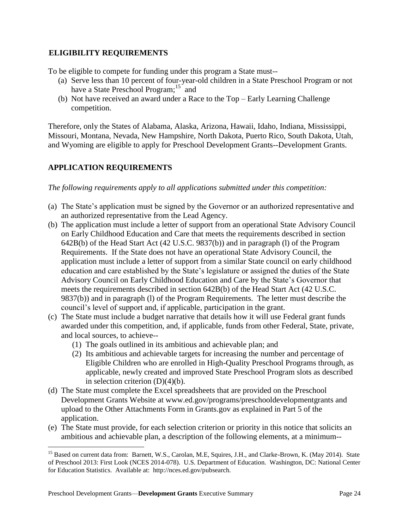# <span id="page-23-0"></span>8B**ELIGIBILITY REQUIREMENTS**

To be eligible to compete for funding under this program a State must--

- (a) Serve less than 10 percent of four-year-old children in a State Preschool Program or not have a State Preschool Program;<sup>15</sup> and
- (b) Not have received an award under a Race to the Top Early Learning Challenge competition.

Therefore, only the States of Alabama, Alaska, Arizona, Hawaii, Idaho, Indiana, Mississippi, Missouri, Montana, Nevada, New Hampshire, North Dakota, Puerto Rico, South Dakota, Utah, and Wyoming are eligible to apply for Preschool Development Grants--Development Grants.

# <span id="page-23-1"></span>**APPLICATION REQUIREMENTS**

*The following requirements apply to all applications submitted under this competition:*

- (a) The State's application must be signed by the Governor or an authorized representative and an authorized representative from the Lead Agency.
- (b) The application must include a letter of support from an operational State Advisory Council on Early Childhood Education and Care that meets the requirements described in section 642B(b) of the Head Start Act (42 U.S.C. 9837(b)) and in paragraph (l) of the Program Requirements. If the State does not have an operational State Advisory Council, the application must include a letter of support from a similar State council on early childhood education and care established by the State's legislature or assigned the duties of the State Advisory Council on Early Childhood Education and Care by the State's Governor that meets the requirements described in section 642B(b) of the Head Start Act (42 U.S.C. 9837(b)) and in paragraph (l) of the Program Requirements. The letter must describe the council's level of support and, if applicable, participation in the grant.
- (c) The State must include a budget narrative that details how it will use Federal grant funds awarded under this competition, and, if applicable, funds from other Federal, State, private, and local sources, to achieve--
	- (1) The goals outlined in its ambitious and achievable plan; and
	- (2) Its ambitious and achievable targets for increasing the number and percentage of Eligible Children who are enrolled in High-Quality Preschool Programs through, as applicable, newly created and improved State Preschool Program slots as described in selection criterion  $(D)(4)(b)$ .
- (d) The State must complete the Excel spreadsheets that are provided on the Preschool Development Grants Website at www.ed.gov/programs/preschooldevelopmentgrants and upload to the Other Attachments Form in Grants.gov as explained in Part 5 of the application.
- (e) The State must provide, for each selection criterion or priority in this notice that solicits an ambitious and achievable plan, a description of the following elements, at a minimum--

<sup>&</sup>lt;sup>15</sup> Based on current data from: Barnett, W.S., Carolan, M.E, Squires, J.H., and Clarke-Brown, K. (May 2014). State of Preschool 2013: First Look (NCES 2014-078). U.S. Department of Education. Washington, DC: National Center for Education Statistics. Available at: http://nces.ed.gov/pubsearch.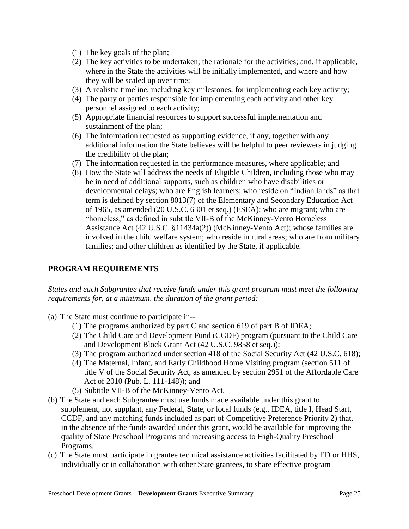- (1) The key goals of the plan;
- (2) The key activities to be undertaken; the rationale for the activities; and, if applicable, where in the State the activities will be initially implemented, and where and how they will be scaled up over time;
- (3) A realistic timeline, including key milestones, for implementing each key activity;
- (4) The party or parties responsible for implementing each activity and other key personnel assigned to each activity;
- (5) Appropriate financial resources to support successful implementation and sustainment of the plan;
- (6) The information requested as supporting evidence, if any, together with any additional information the State believes will be helpful to peer reviewers in judging the credibility of the plan;
- (7) The information requested in the performance measures, where applicable; and
- (8) How the State will address the needs of Eligible Children, including those who may be in need of additional supports, such as children who have disabilities or developmental delays; who are English learners; who reside on "Indian lands" as that term is defined by section 8013(7) of the Elementary and Secondary Education Act of 1965, as amended (20 U.S.C. 6301 et seq.) (ESEA); who are migrant; who are "homeless," as defined in subtitle VII-B of the McKinney-Vento Homeless Assistance Act (42 U.S.C. §11434a(2)) (McKinney-Vento Act); whose families are involved in the child welfare system; who reside in rural areas; who are from military families; and other children as identified by the State, if applicable.

#### **PROGRAM REQUIREMENTS**

*States and each Subgrantee that receive funds under this grant program must meet the following requirements for, at a minimum, the duration of the grant period:*

- (a) The State must continue to participate in--
	- (1) The programs authorized by part C and section 619 of part B of IDEA;
	- (2) The Child Care and Development Fund (CCDF) program (pursuant to the Child Care and Development Block Grant Act (42 U.S.C. 9858 et seq.));
	- (3) The program authorized under section 418 of the Social Security Act (42 U.S.C. 618);
	- (4) The Maternal, Infant, and Early Childhood Home Visiting program (section 511 of title V of the Social Security Act, as amended by section 2951 of the Affordable Care Act of 2010 (Pub. L. 111-148)); and
	- (5) Subtitle VII-B of the McKinney-Vento Act.
- (b) The State and each Subgrantee must use funds made available under this grant to supplement, not supplant, any Federal, State, or local funds (e.g., IDEA, title I, Head Start, CCDF, and any matching funds included as part of Competitive Preference Priority 2) that, in the absence of the funds awarded under this grant, would be available for improving the quality of State Preschool Programs and increasing access to High-Quality Preschool Programs.
- (c) The State must participate in grantee technical assistance activities facilitated by ED or HHS, individually or in collaboration with other State grantees, to share effective program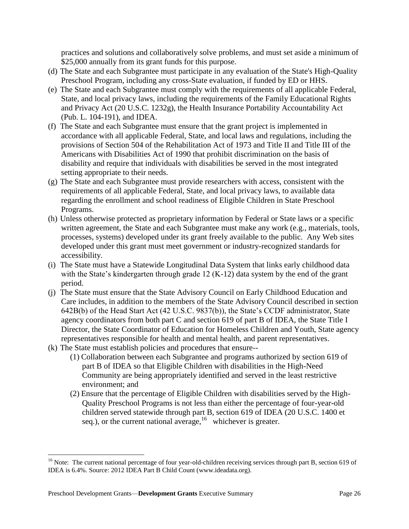practices and solutions and collaboratively solve problems, and must set aside a minimum of \$25,000 annually from its grant funds for this purpose.

- (d) The State and each Subgrantee must participate in any evaluation of the State's High-Quality Preschool Program, including any cross-State evaluation, if funded by ED or HHS.
- (e) The State and each Subgrantee must comply with the requirements of all applicable Federal, State, and local privacy laws, including the requirements of the Family Educational Rights and Privacy Act (20 U.S.C. 1232g), the Health Insurance Portability Accountability Act (Pub. L. 104-191), and IDEA.
- (f) The State and each Subgrantee must ensure that the grant project is implemented in accordance with all applicable Federal, State, and local laws and regulations, including the provisions of Section 504 of the Rehabilitation Act of 1973 and Title II and Title III of the Americans with Disabilities Act of 1990 that prohibit discrimination on the basis of disability and require that individuals with disabilities be served in the most integrated setting appropriate to their needs.
- (g) The State and each Subgrantee must provide researchers with access, consistent with the requirements of all applicable Federal, State, and local privacy laws, to available data regarding the enrollment and school readiness of Eligible Children in State Preschool Programs.
- (h) Unless otherwise protected as proprietary information by Federal or State laws or a specific written agreement, the State and each Subgrantee must make any work (e.g., materials, tools, processes, systems) developed under its grant freely available to the public. Any Web sites developed under this grant must meet government or industry-recognized standards for accessibility.
- (i) The State must have a Statewide Longitudinal Data System that links early childhood data with the State's kindergarten through grade 12 (K-12) data system by the end of the grant period.
- (j) The State must ensure that the State Advisory Council on Early Childhood Education and Care includes, in addition to the members of the State Advisory Council described in section 642B(b) of the Head Start Act (42 U.S.C. 9837(b)), the State's CCDF administrator, State agency coordinators from both part C and section 619 of part B of IDEA, the State Title I Director, the State Coordinator of Education for Homeless Children and Youth, State agency representatives responsible for health and mental health, and parent representatives.
- (k) The State must establish policies and procedures that ensure--
	- (1) Collaboration between each Subgrantee and programs authorized by section 619 of part B of IDEA so that Eligible Children with disabilities in the High-Need Community are being appropriately identified and served in the least restrictive environment; and
	- (2) Ensure that the percentage of Eligible Children with disabilities served by the High-Quality Preschool Programs is not less than either the percentage of four-year-old children served statewide through part B, section 619 of IDEA (20 U.S.C. 1400 et seq.), or the current national average, <sup>16</sup> whichever is greater.

 $16$  Note: The current national percentage of four year-old-children receiving services through part B, section 619 of IDEA is 6.4%. Source: 2012 IDEA Part B Child Count (www.ideadata.org).